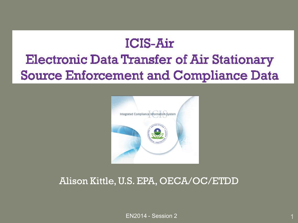# **ICIS-Air Electronic Data Transfer of Air Stationary Source Enforcement and Compliance Data**



### Alison Kittle, U.S. EPA, OECA/OC/ETDD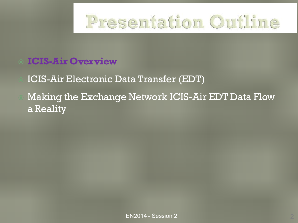

### ICIS-Air Electronic Data Transfer (EDT)

 Making the Exchange Network ICIS-Air EDT Data Flow a Reality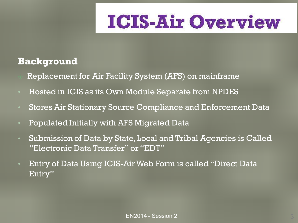### **Background**

- Replacement for Air Facility System (AFS) on mainframe
- Hosted in ICIS as its Own Module Separate from NPDES
- Stores Air Stationary Source Compliance and Enforcement Data
- Populated Initially with AFS Migrated Data
- Submission of Data by State, Local and Tribal Agencies is Called "Electronic Data Transfer" or "EDT"
- Entry of Data Using ICIS-Air Web Form is called "Direct Data Entry"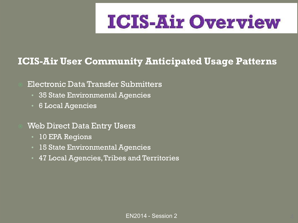### **ICIS-Air User Community Anticipated Usage Patterns**

#### Electronic Data Transfer Submitters

- 35 State Environmental Agencies
- 6 Local Agencies

#### Web Direct Data Entry Users

- 10 EPA Regions
- 15 State Environmental Agencies
- 47 Local Agencies, Tribes and Territories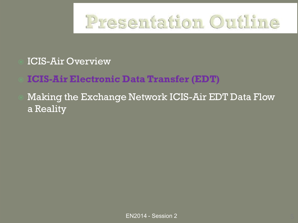

### **ICIS-Air Electronic Data Transfer (EDT)**

### Making the Exchange Network ICIS-Air EDT Data Flow a Reality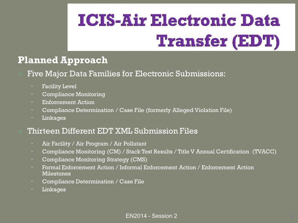### **Planned Approach**

- Five Major Data Families for Electronic Submissions:
	- Facility Level
	- Compliance Monitoring
	- Enforcement Action
	- Compliance Determination / Case File (formerly Alleged Violation File)
	- Linkages

#### Thirteen Different EDT XML Submission Files

- Air Facility / Air Program / Air Pollutant
- Compliance Monitoring (CM) / Stack Test Results / Title V Annual Certification (TVACC)
- Compliance Monitoring Strategy (CMS)
- Formal Enforcement Action / Informal Enforcement Action / Enforcement Action Milestones
- Compliance Determination / Case File
- Linkages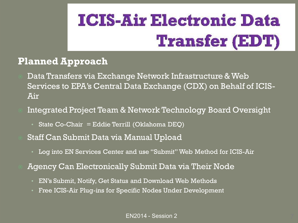### **Planned Approach**

- Data Transfers via Exchange Network Infrastructure & Web Services to EPA's Central Data Exchange (CDX) on Behalf of ICIS-Air
- Integrated Project Team & Network Technology Board Oversight
	- State Co-Chair = Eddie Terrill (Oklahoma DEQ)
- Staff Can Submit Data via Manual Upload
	- Log into EN Services Center and use "Submit" Web Method for ICIS-Air
- Agency Can Electronically Submit Data via Their Node
	- EN's Submit, Notify, Get Status and Download Web Methods
	- Free ICIS-Air Plug-ins for Specific Nodes Under Development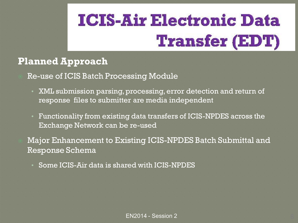### **Planned Approach**

#### Re-use of ICIS Batch Processing Module

- XML submission parsing, processing, error detection and return of response files to submitter are media independent
- Functionality from existing data transfers of ICIS-NPDES across the Exchange Network can be re-used

 Major Enhancement to Existing ICIS-NPDES Batch Submittal and Response Schema

• Some ICIS-Air data is shared with ICIS-NPDES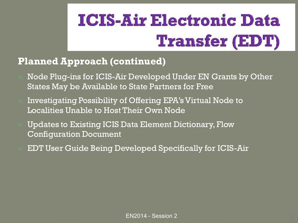### **Planned Approach (continued)**

- Node Plug-ins for ICIS-Air Developed Under EN Grants by Other States May be Available to State Partners for Free
- Investigating Possibility of Offering EPA's Virtual Node to Localities Unable to Host Their Own Node
- Updates to Existing ICIS Data Element Dictionary, Flow Configuration Document
- EDT User Guide Being Developed Specifically for ICIS-Air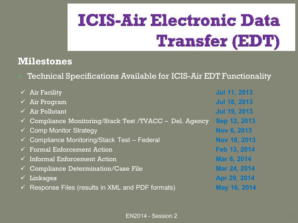### **Milestones**

Technical Specifications Available for ICIS-Air EDT Functionality

| $\checkmark$ Air Facility                                          | <b>Jul 11, 2013</b> |
|--------------------------------------------------------------------|---------------------|
| $\checkmark$ Air Program                                           | <b>Jul 18, 2013</b> |
| $\checkmark$ Air Pollutant                                         | Jul 19, 2013        |
| $\checkmark$ Compliance Monitoring/Stack Test /TVACC – Del. Agency | Sep 12, 2013        |
| $\checkmark$ Comp Monitor Strategy                                 | Nov 6, 2013         |
| $\checkmark$ Compliance Monitoring/Stack Test – Federal            | Nov 18, 2013        |
| $\checkmark$ Formal Enforcement Action                             | Feb 13, 2014        |
| $\checkmark$ Informal Enforcement Action                           | Mar 6, 2014         |
| $\checkmark$ Compliance Determination/Case File                    | Mar 24, 2014        |
| $\checkmark$ Linkages                                              | Apr 29, 2014        |
| $\checkmark$ Response Files (results in XML and PDF formats)       | May 16, 2014        |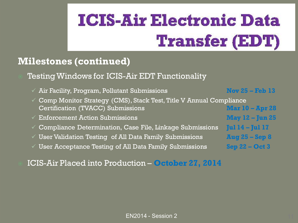#### **Milestones (continued)**

#### Testing Windows for ICIS-Air EDT Functionality

- Air Facility, Program, Pollutant Submissions **Nov 25 – Feb 13**
- Comp Monitor Strategy (CMS), Stack Test, Title V Annual Compliance Certification (TVACC) Submissions **Mar 10 – Apr 28**
- Enforcement Action Submissions **May 12 – Jun 25**
- Compliance Determination, Case File, Linkage Submissions **Jul 14 – Jul 17**
- User Validation Testing of All Data Family Submissions **Aug 25 – Sep 8**
- User Acceptance Testing of All Data Family Submissions **Sep 22 – Oct 3**

ICIS-Air Placed into Production – **October 27, 2014**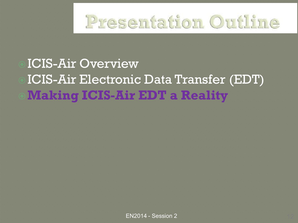

# ICIS-Air Overview ICIS-Air Electronic Data Transfer (EDT) **Making ICIS-Air EDT a Reality**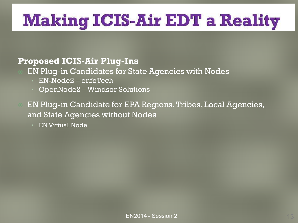# **Making ICIS-Air EDT a Reality**

#### **Proposed ICIS-Air Plug-Ins**

- EN Plug-in Candidates for State Agencies with Nodes
	- EN-Node2 enfoTech
	- OpenNode2 Windsor Solutions

 EN Plug-in Candidate for EPA Regions, Tribes, Local Agencies, and State Agencies without Nodes

• EN Virtual Node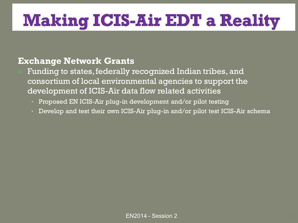# **Making ICIS-Air EDT a Reality**

#### **Exchange Network Grants**

 Funding to states, federally recognized Indian tribes, and consortium of local environmental agencies to support the development of ICIS-Air data flow related activities

- Proposed EN ICIS-Air plug-in development and/or pilot testing
- Develop and test their own ICIS-Air plug-in and/or pilot test ICIS-Air schema